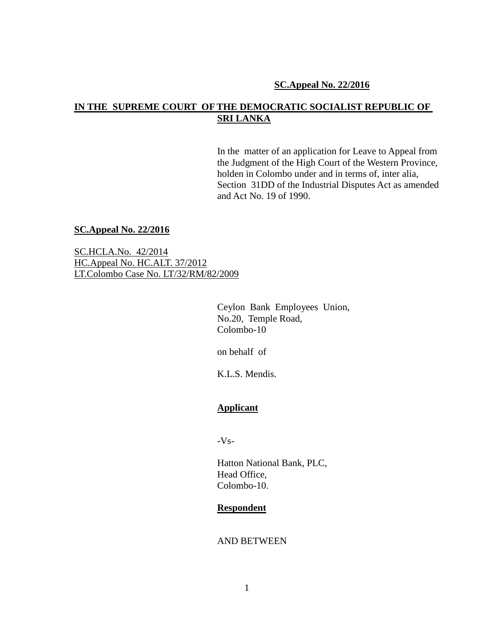#### **SC.Appeal No. 22/2016**

# **IN THE SUPREME COURT OF THE DEMOCRATIC SOCIALIST REPUBLIC OF SRI LANKA**

In the matter of an application for Leave to Appeal from the Judgment of the High Court of the Western Province, holden in Colombo under and in terms of, inter alia, Section 31DD of the Industrial Disputes Act as amended and Act No. 19 of 1990.

#### **SC.Appeal No. 22/2016**

SC.HCLA.No. 42/2014 HC.Appeal No. HC.ALT. 37/2012 LT.Colombo Case No. LT/32/RM/82/2009

> Ceylon Bank Employees Union, No.20, Temple Road, Colombo-10

on behalf of

K.L.S. Mendis.

## **Applicant**

 $-Vs-$ 

Hatton National Bank, PLC, Head Office, Colombo-10.

#### **Respondent**

### AND BETWEEN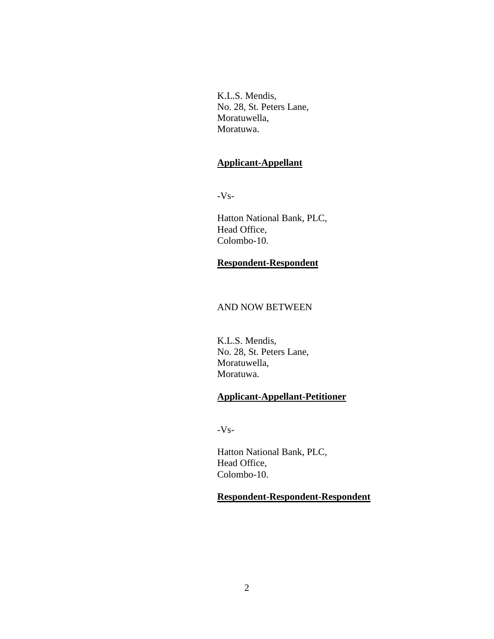K.L.S. Mendis, No. 28, St. Peters Lane, Moratuwella, Moratuwa.

## **Applicant-Appellant**

-Vs-

Hatton National Bank, PLC, Head Office, Colombo-10.

## **Respondent-Respondent**

### AND NOW BETWEEN

K.L.S. Mendis, No. 28, St. Peters Lane, Moratuwella, Moratuwa.

# **Applicant-Appellant-Petitioner**

-Vs-

Hatton National Bank, PLC, Head Office, Colombo-10.

## **Respondent-Respondent-Respondent**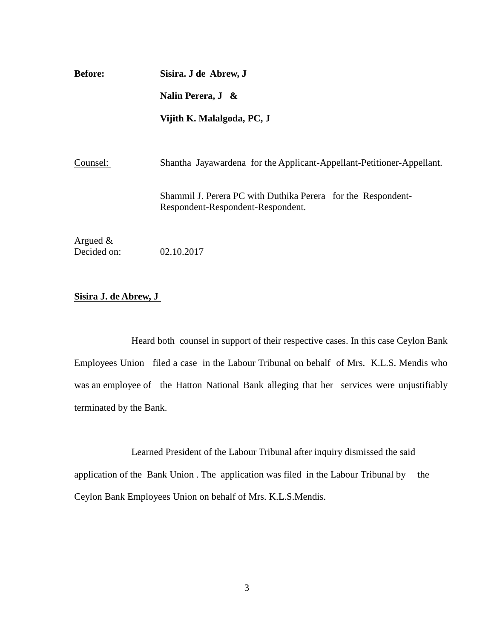**Before: Sisira. J de Abrew, J Nalin Perera, J &**

**Vijith K. Malalgoda, PC, J**

Counsel: Shantha Jayawardena for the Applicant-Appellant-Petitioner-Appellant.

Shammil J. Perera PC with Duthika Perera for the Respondent-Respondent-Respondent-Respondent.

Argued & Decided on: 02.10.2017

## **Sisira J. de Abrew, J**

Heard both counsel in support of their respective cases. In this case Ceylon Bank Employees Union filed a case in the Labour Tribunal on behalf of Mrs. K.L.S. Mendis who was an employee of the Hatton National Bank alleging that her services were unjustifiably terminated by the Bank.

Learned President of the Labour Tribunal after inquiry dismissed the said application of the Bank Union . The application was filed in the Labour Tribunal by the Ceylon Bank Employees Union on behalf of Mrs. K.L.S.Mendis.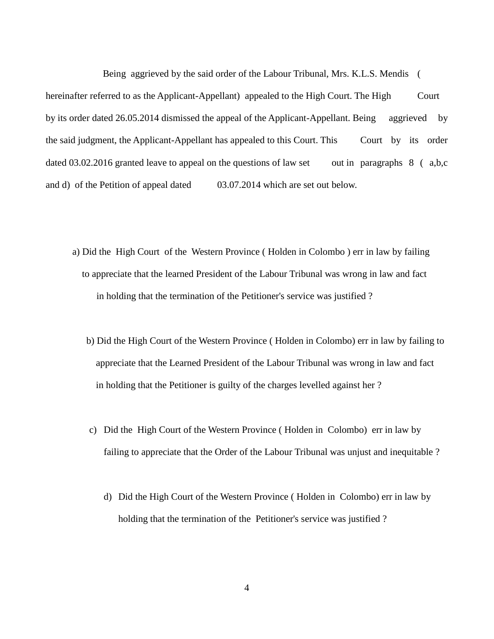Being aggrieved by the said order of the Labour Tribunal, Mrs. K.L.S. Mendis ( hereinafter referred to as the Applicant-Appellant) appealed to the High Court. The High Court by its order dated 26.05.2014 dismissed the appeal of the Applicant-Appellant. Being aggrieved by the said judgment, the Applicant-Appellant has appealed to this Court. This Court by its order dated 03.02.2016 granted leave to appeal on the questions of law set out in paragraphs 8 (a,b,c and d) of the Petition of appeal dated 03.07.2014 which are set out below.

- a) Did the High Court of the Western Province ( Holden in Colombo ) err in law by failing to appreciate that the learned President of the Labour Tribunal was wrong in law and fact in holding that the termination of the Petitioner's service was justified ?
	- b) Did the High Court of the Western Province ( Holden in Colombo) err in law by failing to appreciate that the Learned President of the Labour Tribunal was wrong in law and fact in holding that the Petitioner is guilty of the charges levelled against her ?
	- c) Did the High Court of the Western Province ( Holden in Colombo) err in law by failing to appreciate that the Order of the Labour Tribunal was unjust and inequitable ?
		- d) Did the High Court of the Western Province ( Holden in Colombo) err in law by holding that the termination of the Petitioner's service was justified ?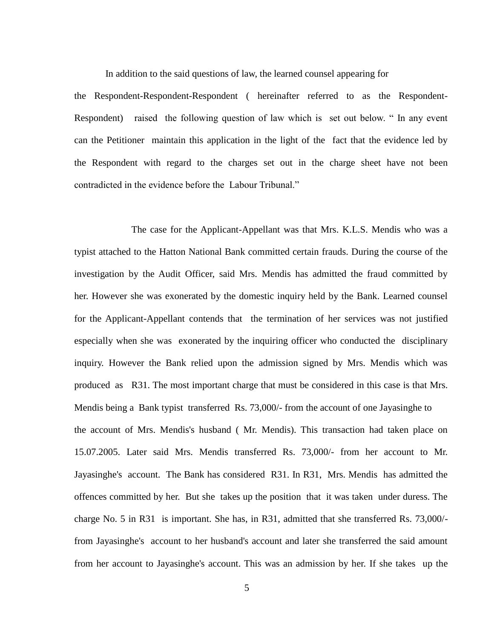In addition to the said questions of law, the learned counsel appearing for

the Respondent-Respondent-Respondent ( hereinafter referred to as the Respondent-Respondent) raised the following question of law which is set out below. " In any event can the Petitioner maintain this application in the light of the fact that the evidence led by the Respondent with regard to the charges set out in the charge sheet have not been contradicted in the evidence before the Labour Tribunal."

The case for the Applicant-Appellant was that Mrs. K.L.S. Mendis who was a typist attached to the Hatton National Bank committed certain frauds. During the course of the investigation by the Audit Officer, said Mrs. Mendis has admitted the fraud committed by her. However she was exonerated by the domestic inquiry held by the Bank. Learned counsel for the Applicant-Appellant contends that the termination of her services was not justified especially when she was exonerated by the inquiring officer who conducted the disciplinary inquiry. However the Bank relied upon the admission signed by Mrs. Mendis which was produced as R31. The most important charge that must be considered in this case is that Mrs. Mendis being a Bank typist transferred Rs. 73,000/- from the account of one Jayasinghe to the account of Mrs. Mendis's husband ( Mr. Mendis). This transaction had taken place on 15.07.2005. Later said Mrs. Mendis transferred Rs. 73,000/- from her account to Mr. Jayasinghe's account. The Bank has considered R31. In R31, Mrs. Mendis has admitted the offences committed by her. But she takes up the position that it was taken under duress. The charge No. 5 in R31 is important. She has, in R31, admitted that she transferred Rs. 73,000/ from Jayasinghe's account to her husband's account and later she transferred the said amount from her account to Jayasinghe's account. This was an admission by her. If she takes up the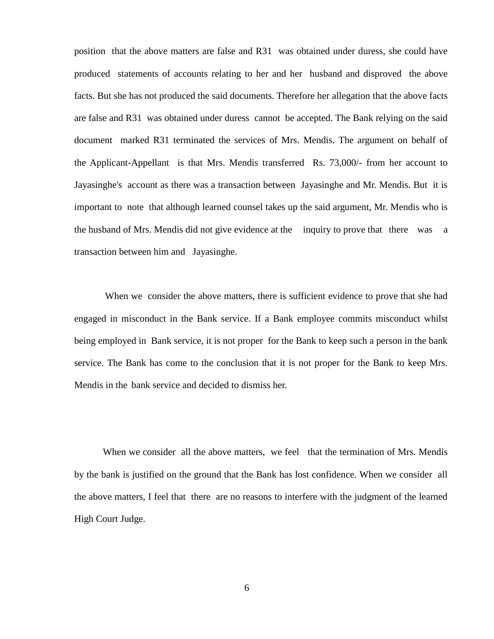position that the above matters are false and R31 was obtained under duress, she could have produced statements of accounts relating to her and her husband and disproved the above facts. But she has not produced the said documents. Therefore her allegation that the above facts are false and R31 was obtained under duress cannot be accepted. The Bank relying on the said document marked R31 terminated the services of Mrs. Mendis. The argument on behalf of the Applicant-Appellant is that Mrs. Mendis transferred Rs. 73,000/- from her account to Jayasinghe's account as there was a transaction between Jayasinghe and Mr. Mendis. But it is important to note that although learned counsel takes up the said argument, Mr. Mendis who is the husband of Mrs. Mendis did not give evidence at the inquiry to prove that there was a transaction between him and Jayasinghe.

When we consider the above matters, there is sufficient evidence to prove that she had engaged in misconduct in the Bank service. If a Bank employee commits misconduct whilst being employed in Bank service, it is not proper for the Bank to keep such a person in the bank service. The Bank has come to the conclusion that it is not proper for the Bank to keep Mrs. Mendis in the bank service and decided to dismiss her.

When we consider all the above matters, we feel that the termination of Mrs. Mendis by the bank is justified on the ground that the Bank has lost confidence. When we consider all the above matters, I feel that there are no reasons to interfere with the judgment of the learned High Court Judge.